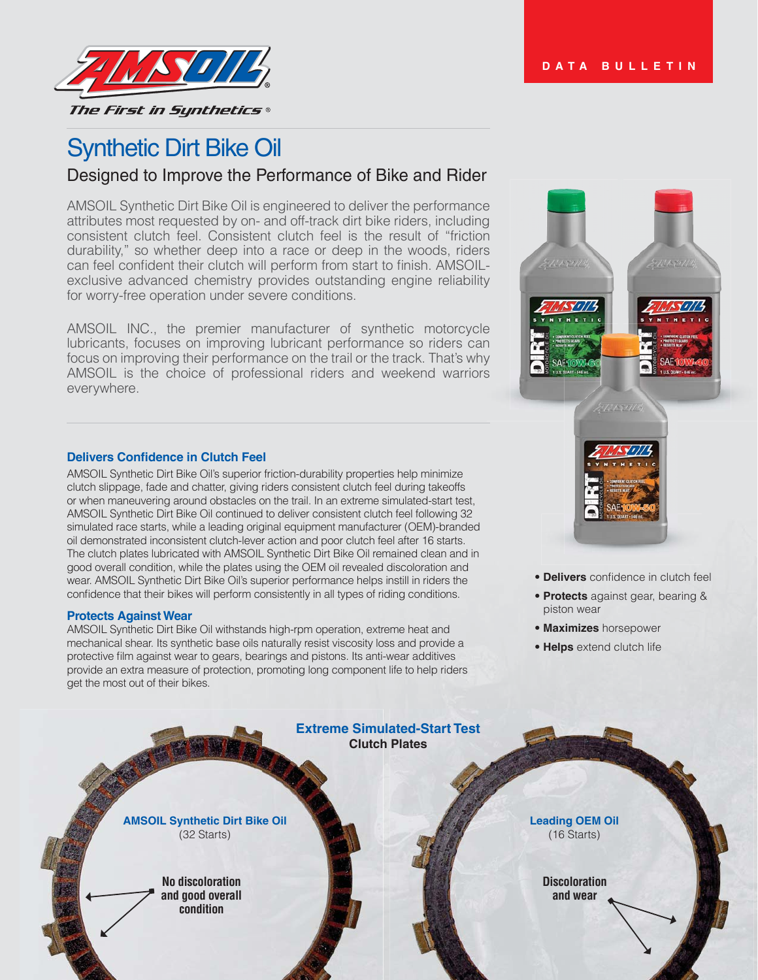

# Synthetic Dirt Bike Oil

# Designed to Improve the Performance of Bike and Rider

AMSOIL Synthetic Dirt Bike Oil is engineered to deliver the performance attributes most requested by on- and off-track dirt bike riders, including consistent clutch feel. Consistent clutch feel is the result of "friction durability," so whether deep into a race or deep in the woods, riders can feel confident their clutch will perform from start to finish. AMSOILexclusive advanced chemistry provides outstanding engine reliability for worry-free operation under severe conditions.

AMSOIL INC., the premier manufacturer of synthetic motorcycle lubricants, focuses on improving lubricant performance so riders can focus on improving their performance on the trail or the track. That's why AMSOIL is the choice of professional riders and weekend warriors everywhere.

#### **Delivers Confidence in Clutch Feel**

AMSOIL Synthetic Dirt Bike Oil's superior friction-durability properties help minimize clutch slippage, fade and chatter, giving riders consistent clutch feel during takeoffs or when maneuvering around obstacles on the trail. In an extreme simulated-start test, AMSOIL Synthetic Dirt Bike Oil continued to deliver consistent clutch feel following 32 simulated race starts, while a leading original equipment manufacturer (OEM)-branded oil demonstrated inconsistent clutch-lever action and poor clutch feel after 16 starts. The clutch plates lubricated with AMSOIL Synthetic Dirt Bike Oil remained clean and in good overall condition, while the plates using the OEM oil revealed discoloration and wear. AMSOIL Synthetic Dirt Bike Oil's superior performance helps instill in riders the confidence that their bikes will perform consistently in all types of riding conditions.

#### **Protects Against Wear**

AMSOIL Synthetic Dirt Bike Oil withstands high-rpm operation, extreme heat and mechanical shear. Its synthetic base oils naturally resist viscosity loss and provide a protective film against wear to gears, bearings and pistons. Its anti-wear additives provide an extra measure of protection, promoting long component life to help riders get the most out of their bikes.



- **Delivers** confidence in clutch feel
- **Protects** against gear, bearing & piston wear
- **Maximizes** horsepower
- **Helps** extend clutch life